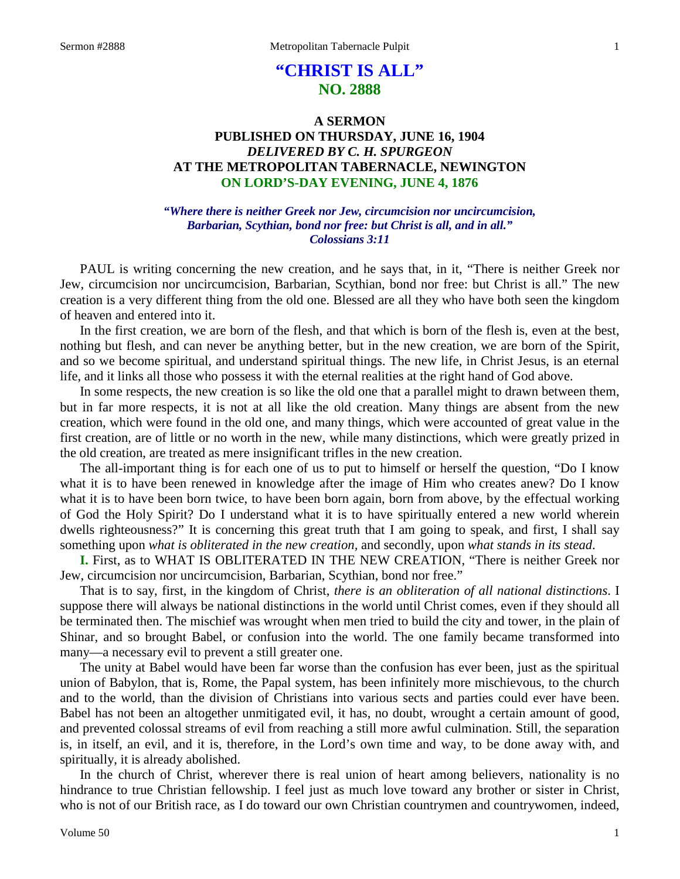# **"CHRIST IS ALL" NO. 2888**

## **A SERMON PUBLISHED ON THURSDAY, JUNE 16, 1904** *DELIVERED BY C. H. SPURGEON* **AT THE METROPOLITAN TABERNACLE, NEWINGTON ON LORD'S-DAY EVENING, JUNE 4, 1876**

### *"Where there is neither Greek nor Jew, circumcision nor uncircumcision, Barbarian, Scythian, bond nor free: but Christ is all, and in all." Colossians 3:11*

PAUL is writing concerning the new creation, and he says that, in it, "There is neither Greek nor Jew, circumcision nor uncircumcision, Barbarian, Scythian, bond nor free: but Christ is all." The new creation is a very different thing from the old one. Blessed are all they who have both seen the kingdom of heaven and entered into it.

In the first creation, we are born of the flesh, and that which is born of the flesh is, even at the best, nothing but flesh, and can never be anything better, but in the new creation, we are born of the Spirit, and so we become spiritual, and understand spiritual things. The new life, in Christ Jesus, is an eternal life, and it links all those who possess it with the eternal realities at the right hand of God above.

In some respects, the new creation is so like the old one that a parallel might to drawn between them, but in far more respects, it is not at all like the old creation. Many things are absent from the new creation, which were found in the old one, and many things, which were accounted of great value in the first creation, are of little or no worth in the new, while many distinctions, which were greatly prized in the old creation, are treated as mere insignificant trifles in the new creation.

The all-important thing is for each one of us to put to himself or herself the question, "Do I know what it is to have been renewed in knowledge after the image of Him who creates anew? Do I know what it is to have been born twice, to have been born again, born from above, by the effectual working of God the Holy Spirit? Do I understand what it is to have spiritually entered a new world wherein dwells righteousness?" It is concerning this great truth that I am going to speak, and first, I shall say something upon *what is obliterated in the new creation,* and secondly, upon *what stands in its stead*.

**I.** First, as to WHAT IS OBLITERATED IN THE NEW CREATION, "There is neither Greek nor Jew, circumcision nor uncircumcision, Barbarian, Scythian, bond nor free."

That is to say, first, in the kingdom of Christ, *there is an obliteration of all national distinctions*. I suppose there will always be national distinctions in the world until Christ comes, even if they should all be terminated then. The mischief was wrought when men tried to build the city and tower, in the plain of Shinar, and so brought Babel, or confusion into the world. The one family became transformed into many—a necessary evil to prevent a still greater one.

The unity at Babel would have been far worse than the confusion has ever been, just as the spiritual union of Babylon, that is, Rome, the Papal system, has been infinitely more mischievous, to the church and to the world, than the division of Christians into various sects and parties could ever have been. Babel has not been an altogether unmitigated evil, it has, no doubt, wrought a certain amount of good, and prevented colossal streams of evil from reaching a still more awful culmination. Still, the separation is, in itself, an evil, and it is, therefore, in the Lord's own time and way, to be done away with, and spiritually, it is already abolished.

In the church of Christ, wherever there is real union of heart among believers, nationality is no hindrance to true Christian fellowship. I feel just as much love toward any brother or sister in Christ, who is not of our British race, as I do toward our own Christian countrymen and countrywomen, indeed,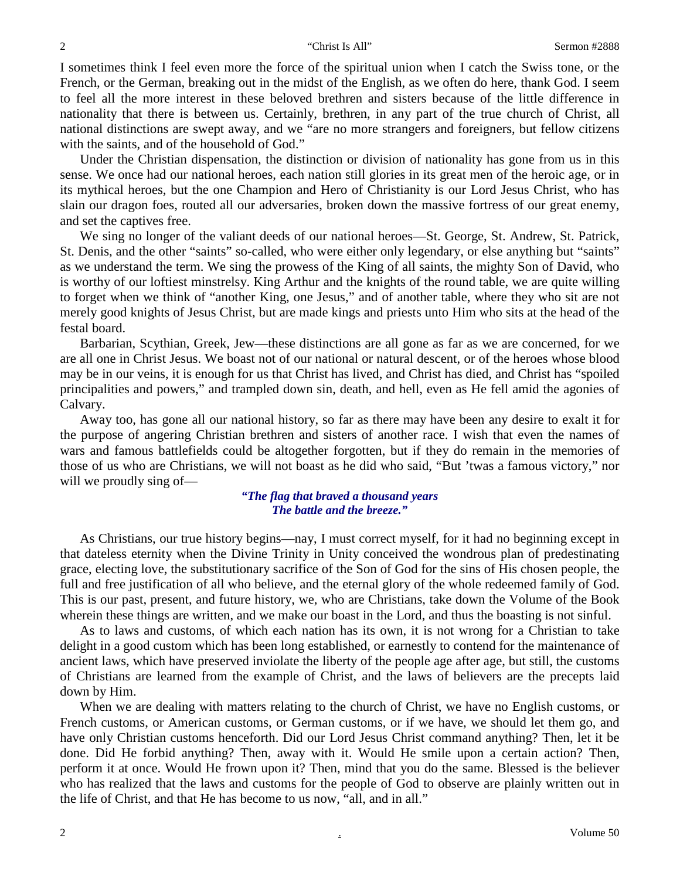I sometimes think I feel even more the force of the spiritual union when I catch the Swiss tone, or the French, or the German, breaking out in the midst of the English, as we often do here, thank God. I seem to feel all the more interest in these beloved brethren and sisters because of the little difference in nationality that there is between us. Certainly, brethren, in any part of the true church of Christ, all national distinctions are swept away, and we "are no more strangers and foreigners, but fellow citizens with the saints, and of the household of God."

Under the Christian dispensation, the distinction or division of nationality has gone from us in this sense. We once had our national heroes, each nation still glories in its great men of the heroic age, or in its mythical heroes, but the one Champion and Hero of Christianity is our Lord Jesus Christ, who has slain our dragon foes, routed all our adversaries, broken down the massive fortress of our great enemy, and set the captives free.

We sing no longer of the valiant deeds of our national heroes—St. George, St. Andrew, St. Patrick, St. Denis, and the other "saints" so-called, who were either only legendary, or else anything but "saints" as we understand the term. We sing the prowess of the King of all saints, the mighty Son of David, who is worthy of our loftiest minstrelsy. King Arthur and the knights of the round table, we are quite willing to forget when we think of "another King, one Jesus," and of another table, where they who sit are not merely good knights of Jesus Christ, but are made kings and priests unto Him who sits at the head of the festal board.

Barbarian, Scythian, Greek, Jew—these distinctions are all gone as far as we are concerned, for we are all one in Christ Jesus. We boast not of our national or natural descent, or of the heroes whose blood may be in our veins, it is enough for us that Christ has lived, and Christ has died, and Christ has "spoiled principalities and powers," and trampled down sin, death, and hell, even as He fell amid the agonies of Calvary.

Away too, has gone all our national history, so far as there may have been any desire to exalt it for the purpose of angering Christian brethren and sisters of another race. I wish that even the names of wars and famous battlefields could be altogether forgotten, but if they do remain in the memories of those of us who are Christians, we will not boast as he did who said, "But 'twas a famous victory," nor will we proudly sing of—

## *"The flag that braved a thousand years The battle and the breeze."*

As Christians, our true history begins—nay, I must correct myself, for it had no beginning except in that dateless eternity when the Divine Trinity in Unity conceived the wondrous plan of predestinating grace, electing love, the substitutionary sacrifice of the Son of God for the sins of His chosen people, the full and free justification of all who believe, and the eternal glory of the whole redeemed family of God. This is our past, present, and future history, we, who are Christians, take down the Volume of the Book wherein these things are written, and we make our boast in the Lord, and thus the boasting is not sinful.

As to laws and customs, of which each nation has its own, it is not wrong for a Christian to take delight in a good custom which has been long established, or earnestly to contend for the maintenance of ancient laws, which have preserved inviolate the liberty of the people age after age, but still, the customs of Christians are learned from the example of Christ, and the laws of believers are the precepts laid down by Him.

When we are dealing with matters relating to the church of Christ, we have no English customs, or French customs, or American customs, or German customs, or if we have, we should let them go, and have only Christian customs henceforth. Did our Lord Jesus Christ command anything? Then, let it be done. Did He forbid anything? Then, away with it. Would He smile upon a certain action? Then, perform it at once. Would He frown upon it? Then, mind that you do the same. Blessed is the believer who has realized that the laws and customs for the people of God to observe are plainly written out in the life of Christ, and that He has become to us now, "all, and in all."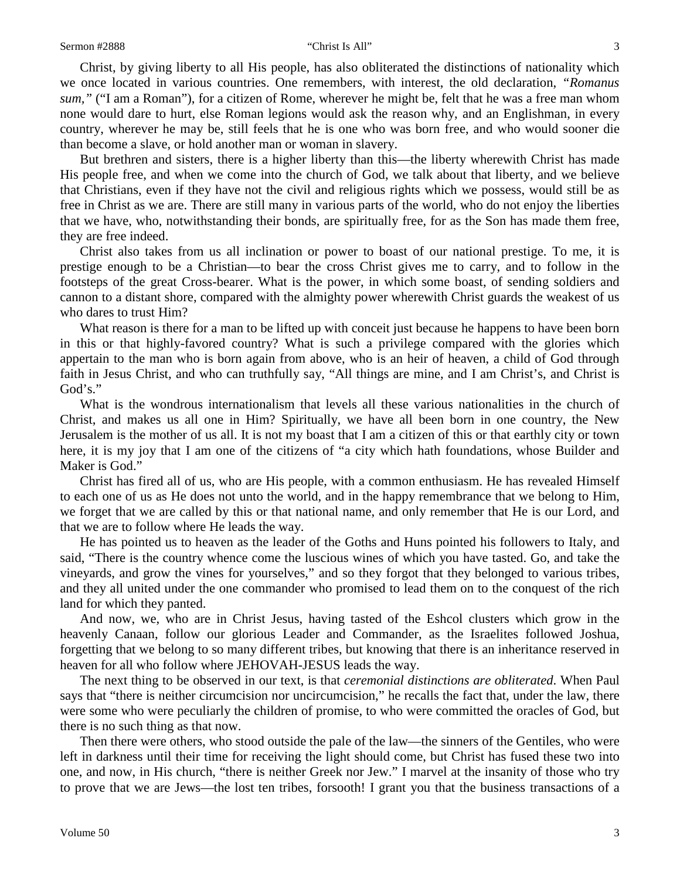Christ, by giving liberty to all His people, has also obliterated the distinctions of nationality which we once located in various countries. One remembers, with interest, the old declaration, *"Romanus sum,"* ("I am a Roman"), for a citizen of Rome, wherever he might be, felt that he was a free man whom none would dare to hurt, else Roman legions would ask the reason why, and an Englishman, in every country, wherever he may be, still feels that he is one who was born free, and who would sooner die than become a slave, or hold another man or woman in slavery.

But brethren and sisters, there is a higher liberty than this—the liberty wherewith Christ has made His people free, and when we come into the church of God, we talk about that liberty, and we believe that Christians, even if they have not the civil and religious rights which we possess, would still be as free in Christ as we are. There are still many in various parts of the world, who do not enjoy the liberties that we have, who, notwithstanding their bonds, are spiritually free, for as the Son has made them free, they are free indeed.

Christ also takes from us all inclination or power to boast of our national prestige. To me, it is prestige enough to be a Christian—to bear the cross Christ gives me to carry, and to follow in the footsteps of the great Cross-bearer. What is the power, in which some boast, of sending soldiers and cannon to a distant shore, compared with the almighty power wherewith Christ guards the weakest of us who dares to trust Him?

What reason is there for a man to be lifted up with conceit just because he happens to have been born in this or that highly-favored country? What is such a privilege compared with the glories which appertain to the man who is born again from above, who is an heir of heaven, a child of God through faith in Jesus Christ, and who can truthfully say, "All things are mine, and I am Christ's, and Christ is God's."

What is the wondrous internationalism that levels all these various nationalities in the church of Christ, and makes us all one in Him? Spiritually, we have all been born in one country, the New Jerusalem is the mother of us all. It is not my boast that I am a citizen of this or that earthly city or town here, it is my joy that I am one of the citizens of "a city which hath foundations, whose Builder and Maker is God."

Christ has fired all of us, who are His people, with a common enthusiasm. He has revealed Himself to each one of us as He does not unto the world, and in the happy remembrance that we belong to Him, we forget that we are called by this or that national name, and only remember that He is our Lord, and that we are to follow where He leads the way.

He has pointed us to heaven as the leader of the Goths and Huns pointed his followers to Italy, and said, "There is the country whence come the luscious wines of which you have tasted. Go, and take the vineyards, and grow the vines for yourselves," and so they forgot that they belonged to various tribes, and they all united under the one commander who promised to lead them on to the conquest of the rich land for which they panted.

And now, we, who are in Christ Jesus, having tasted of the Eshcol clusters which grow in the heavenly Canaan, follow our glorious Leader and Commander, as the Israelites followed Joshua, forgetting that we belong to so many different tribes, but knowing that there is an inheritance reserved in heaven for all who follow where JEHOVAH-JESUS leads the way.

The next thing to be observed in our text, is that *ceremonial distinctions are obliterated*. When Paul says that "there is neither circumcision nor uncircumcision," he recalls the fact that, under the law, there were some who were peculiarly the children of promise, to who were committed the oracles of God, but there is no such thing as that now.

Then there were others, who stood outside the pale of the law—the sinners of the Gentiles, who were left in darkness until their time for receiving the light should come, but Christ has fused these two into one, and now, in His church, "there is neither Greek nor Jew." I marvel at the insanity of those who try to prove that we are Jews—the lost ten tribes, forsooth! I grant you that the business transactions of a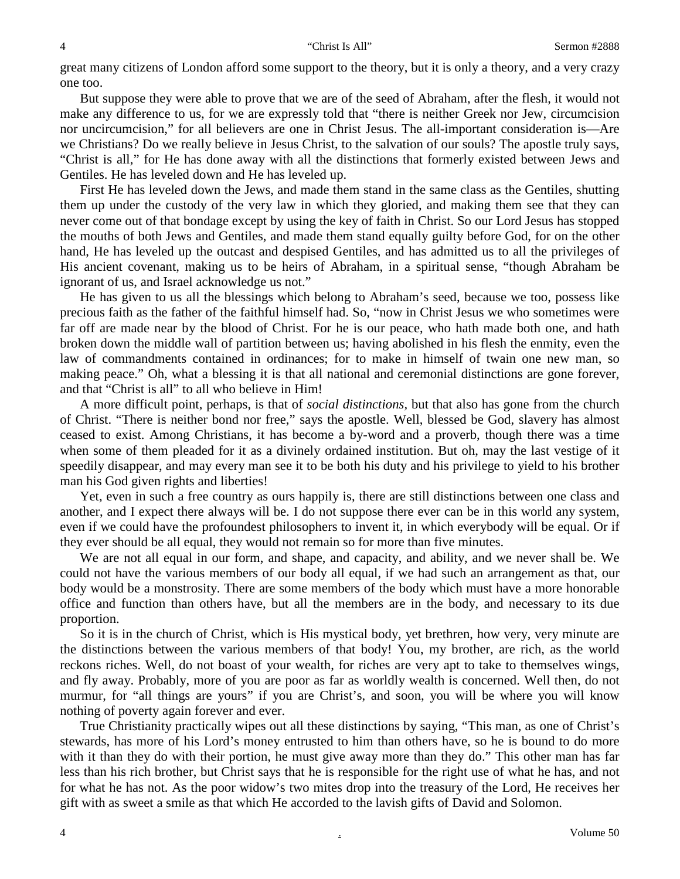#### 4 "Christ Is All" Sermon #2888

great many citizens of London afford some support to the theory, but it is only a theory, and a very crazy one too.

But suppose they were able to prove that we are of the seed of Abraham, after the flesh, it would not make any difference to us, for we are expressly told that "there is neither Greek nor Jew, circumcision nor uncircumcision," for all believers are one in Christ Jesus. The all-important consideration is—Are we Christians? Do we really believe in Jesus Christ, to the salvation of our souls? The apostle truly says, "Christ is all," for He has done away with all the distinctions that formerly existed between Jews and Gentiles. He has leveled down and He has leveled up.

First He has leveled down the Jews, and made them stand in the same class as the Gentiles, shutting them up under the custody of the very law in which they gloried, and making them see that they can never come out of that bondage except by using the key of faith in Christ. So our Lord Jesus has stopped the mouths of both Jews and Gentiles, and made them stand equally guilty before God, for on the other hand, He has leveled up the outcast and despised Gentiles, and has admitted us to all the privileges of His ancient covenant, making us to be heirs of Abraham, in a spiritual sense, "though Abraham be ignorant of us, and Israel acknowledge us not."

He has given to us all the blessings which belong to Abraham's seed, because we too, possess like precious faith as the father of the faithful himself had. So, "now in Christ Jesus we who sometimes were far off are made near by the blood of Christ. For he is our peace, who hath made both one, and hath broken down the middle wall of partition between us; having abolished in his flesh the enmity, even the law of commandments contained in ordinances; for to make in himself of twain one new man, so making peace." Oh, what a blessing it is that all national and ceremonial distinctions are gone forever, and that "Christ is all" to all who believe in Him!

A more difficult point, perhaps, is that of *social distinctions,* but that also has gone from the church of Christ. "There is neither bond nor free," says the apostle. Well, blessed be God, slavery has almost ceased to exist. Among Christians, it has become a by-word and a proverb, though there was a time when some of them pleaded for it as a divinely ordained institution. But oh, may the last vestige of it speedily disappear, and may every man see it to be both his duty and his privilege to yield to his brother man his God given rights and liberties!

Yet, even in such a free country as ours happily is, there are still distinctions between one class and another, and I expect there always will be. I do not suppose there ever can be in this world any system, even if we could have the profoundest philosophers to invent it, in which everybody will be equal. Or if they ever should be all equal, they would not remain so for more than five minutes.

We are not all equal in our form, and shape, and capacity, and ability, and we never shall be. We could not have the various members of our body all equal, if we had such an arrangement as that, our body would be a monstrosity. There are some members of the body which must have a more honorable office and function than others have, but all the members are in the body, and necessary to its due proportion.

So it is in the church of Christ, which is His mystical body, yet brethren, how very, very minute are the distinctions between the various members of that body! You, my brother, are rich, as the world reckons riches. Well, do not boast of your wealth, for riches are very apt to take to themselves wings, and fly away. Probably, more of you are poor as far as worldly wealth is concerned. Well then, do not murmur, for "all things are yours" if you are Christ's, and soon, you will be where you will know nothing of poverty again forever and ever.

True Christianity practically wipes out all these distinctions by saying, "This man, as one of Christ's stewards, has more of his Lord's money entrusted to him than others have, so he is bound to do more with it than they do with their portion, he must give away more than they do." This other man has far less than his rich brother, but Christ says that he is responsible for the right use of what he has, and not for what he has not. As the poor widow's two mites drop into the treasury of the Lord, He receives her gift with as sweet a smile as that which He accorded to the lavish gifts of David and Solomon.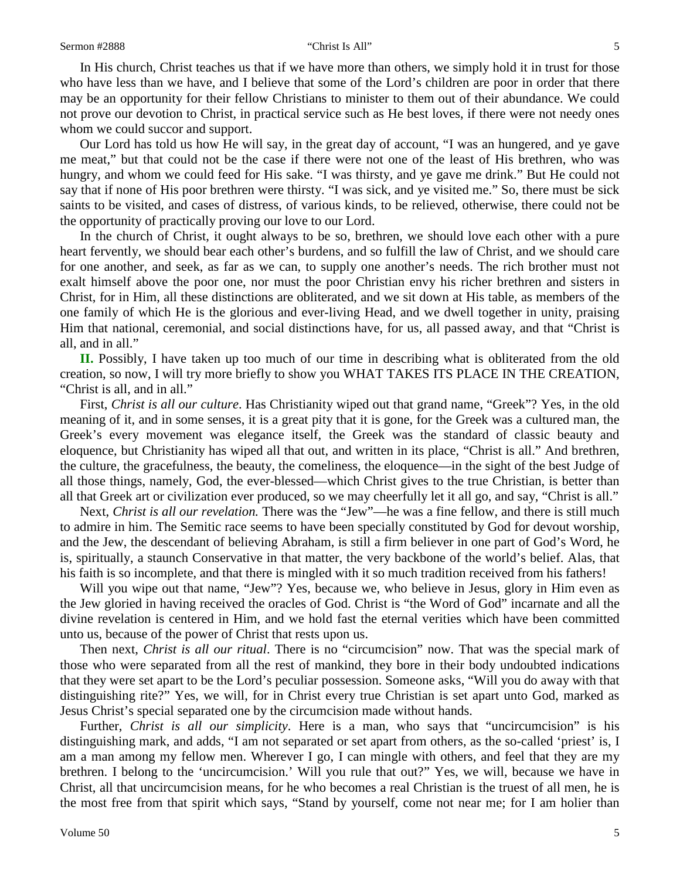#### Sermon #2888 "Christ Is All" Sermon #2888 "Sermon #2888" Sermon #2888 "Sermon #2888" S

In His church, Christ teaches us that if we have more than others, we simply hold it in trust for those who have less than we have, and I believe that some of the Lord's children are poor in order that there may be an opportunity for their fellow Christians to minister to them out of their abundance. We could not prove our devotion to Christ, in practical service such as He best loves, if there were not needy ones whom we could succor and support.

Our Lord has told us how He will say, in the great day of account, "I was an hungered, and ye gave me meat," but that could not be the case if there were not one of the least of His brethren, who was hungry, and whom we could feed for His sake. "I was thirsty, and ye gave me drink." But He could not say that if none of His poor brethren were thirsty. "I was sick, and ye visited me." So, there must be sick saints to be visited, and cases of distress, of various kinds, to be relieved, otherwise, there could not be the opportunity of practically proving our love to our Lord.

In the church of Christ, it ought always to be so, brethren, we should love each other with a pure heart fervently, we should bear each other's burdens, and so fulfill the law of Christ, and we should care for one another, and seek, as far as we can, to supply one another's needs. The rich brother must not exalt himself above the poor one, nor must the poor Christian envy his richer brethren and sisters in Christ, for in Him, all these distinctions are obliterated, and we sit down at His table, as members of the one family of which He is the glorious and ever-living Head, and we dwell together in unity, praising Him that national, ceremonial, and social distinctions have, for us, all passed away, and that "Christ is all, and in all."

**II.** Possibly, I have taken up too much of our time in describing what is obliterated from the old creation, so now, I will try more briefly to show you WHAT TAKES ITS PLACE IN THE CREATION, "Christ is all, and in all."

First, *Christ is all our culture*. Has Christianity wiped out that grand name, "Greek"? Yes, in the old meaning of it, and in some senses, it is a great pity that it is gone, for the Greek was a cultured man, the Greek's every movement was elegance itself, the Greek was the standard of classic beauty and eloquence, but Christianity has wiped all that out, and written in its place, "Christ is all." And brethren, the culture, the gracefulness, the beauty, the comeliness, the eloquence—in the sight of the best Judge of all those things, namely, God, the ever-blessed—which Christ gives to the true Christian, is better than all that Greek art or civilization ever produced, so we may cheerfully let it all go, and say, "Christ is all."

Next, *Christ is all our revelation.* There was the "Jew"—he was a fine fellow, and there is still much to admire in him. The Semitic race seems to have been specially constituted by God for devout worship, and the Jew, the descendant of believing Abraham, is still a firm believer in one part of God's Word, he is, spiritually, a staunch Conservative in that matter, the very backbone of the world's belief. Alas, that his faith is so incomplete, and that there is mingled with it so much tradition received from his fathers!

Will you wipe out that name, "Jew"? Yes, because we, who believe in Jesus, glory in Him even as the Jew gloried in having received the oracles of God. Christ is "the Word of God" incarnate and all the divine revelation is centered in Him, and we hold fast the eternal verities which have been committed unto us, because of the power of Christ that rests upon us.

Then next, *Christ is all our ritual*. There is no "circumcision" now. That was the special mark of those who were separated from all the rest of mankind, they bore in their body undoubted indications that they were set apart to be the Lord's peculiar possession. Someone asks, "Will you do away with that distinguishing rite?" Yes, we will, for in Christ every true Christian is set apart unto God, marked as Jesus Christ's special separated one by the circumcision made without hands.

Further, *Christ is all our simplicity*. Here is a man, who says that "uncircumcision" is his distinguishing mark, and adds, "I am not separated or set apart from others, as the so-called 'priest' is, I am a man among my fellow men. Wherever I go, I can mingle with others, and feel that they are my brethren. I belong to the 'uncircumcision.' Will you rule that out?" Yes, we will, because we have in Christ, all that uncircumcision means, for he who becomes a real Christian is the truest of all men, he is the most free from that spirit which says, "Stand by yourself, come not near me; for I am holier than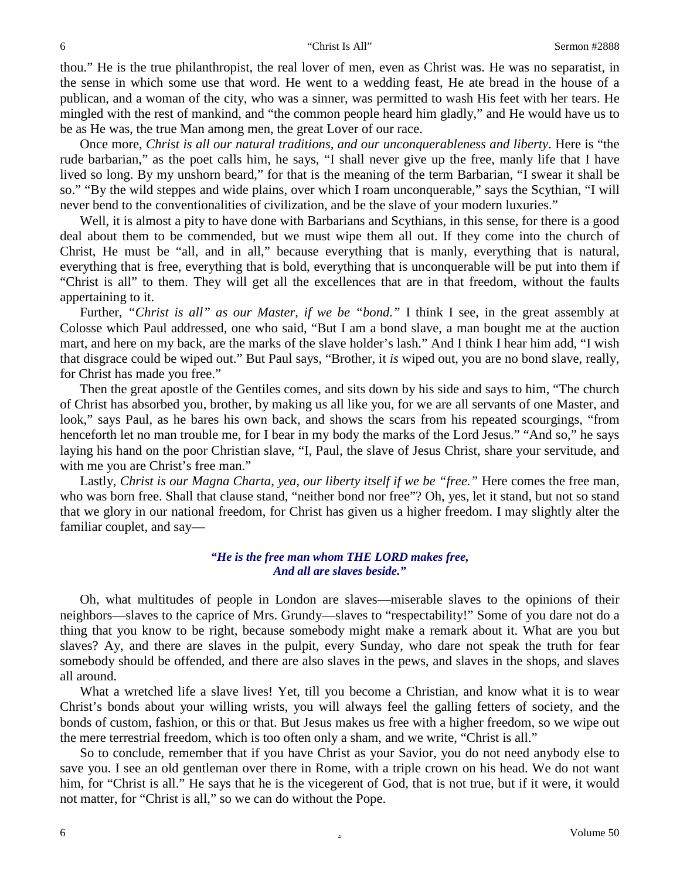thou." He is the true philanthropist, the real lover of men, even as Christ was. He was no separatist, in the sense in which some use that word. He went to a wedding feast, He ate bread in the house of a publican, and a woman of the city, who was a sinner, was permitted to wash His feet with her tears. He mingled with the rest of mankind, and "the common people heard him gladly," and He would have us to be as He was, the true Man among men, the great Lover of our race.

Once more, *Christ is all our natural traditions, and our unconquerableness and liberty*. Here is "the rude barbarian," as the poet calls him, he says, "I shall never give up the free, manly life that I have lived so long. By my unshorn beard," for that is the meaning of the term Barbarian, "I swear it shall be so." "By the wild steppes and wide plains, over which I roam unconquerable," says the Scythian, "I will never bend to the conventionalities of civilization, and be the slave of your modern luxuries."

Well, it is almost a pity to have done with Barbarians and Scythians, in this sense, for there is a good deal about them to be commended, but we must wipe them all out. If they come into the church of Christ, He must be "all, and in all," because everything that is manly, everything that is natural, everything that is free, everything that is bold, everything that is unconquerable will be put into them if "Christ is all" to them. They will get all the excellences that are in that freedom, without the faults appertaining to it.

Further, *"Christ is all" as our Master, if we be "bond."* I think I see, in the great assembly at Colosse which Paul addressed, one who said, "But I am a bond slave, a man bought me at the auction mart, and here on my back, are the marks of the slave holder's lash." And I think I hear him add, "I wish that disgrace could be wiped out." But Paul says, "Brother, it *is* wiped out, you are no bond slave, really, for Christ has made you free."

Then the great apostle of the Gentiles comes, and sits down by his side and says to him, "The church of Christ has absorbed you, brother, by making us all like you, for we are all servants of one Master, and look," says Paul, as he bares his own back, and shows the scars from his repeated scourgings, "from henceforth let no man trouble me, for I bear in my body the marks of the Lord Jesus." "And so," he says laying his hand on the poor Christian slave, "I, Paul, the slave of Jesus Christ, share your servitude, and with me you are Christ's free man."

Lastly, *Christ is our Magna Charta, yea, our liberty itself if we be "free."* Here comes the free man, who was born free. Shall that clause stand, "neither bond nor free"? Oh, yes, let it stand, but not so stand that we glory in our national freedom, for Christ has given us a higher freedom. I may slightly alter the familiar couplet, and say—

### *"He is the free man whom THE LORD makes free, And all are slaves beside."*

Oh, what multitudes of people in London are slaves—miserable slaves to the opinions of their neighbors—slaves to the caprice of Mrs. Grundy—slaves to "respectability!" Some of you dare not do a thing that you know to be right, because somebody might make a remark about it. What are you but slaves? Ay, and there are slaves in the pulpit, every Sunday, who dare not speak the truth for fear somebody should be offended, and there are also slaves in the pews, and slaves in the shops, and slaves all around.

What a wretched life a slave lives! Yet, till you become a Christian, and know what it is to wear Christ's bonds about your willing wrists, you will always feel the galling fetters of society, and the bonds of custom, fashion, or this or that. But Jesus makes us free with a higher freedom, so we wipe out the mere terrestrial freedom, which is too often only a sham, and we write, "Christ is all."

So to conclude, remember that if you have Christ as your Savior, you do not need anybody else to save you. I see an old gentleman over there in Rome, with a triple crown on his head. We do not want him, for "Christ is all." He says that he is the vicegerent of God, that is not true, but if it were, it would not matter, for "Christ is all," so we can do without the Pope.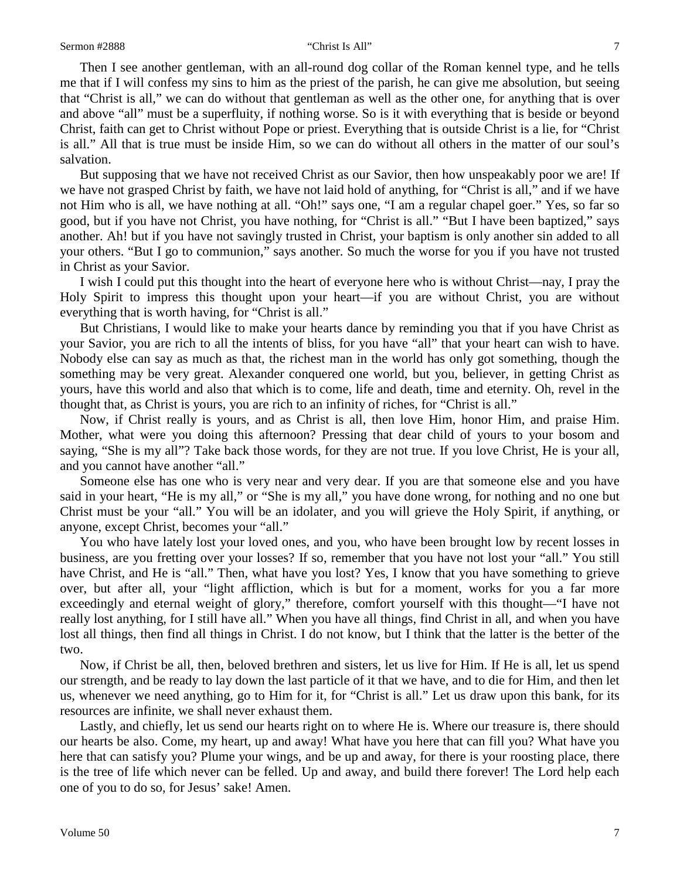#### Sermon #2888 "Christ Is All" 7

Then I see another gentleman, with an all-round dog collar of the Roman kennel type, and he tells me that if I will confess my sins to him as the priest of the parish, he can give me absolution, but seeing that "Christ is all," we can do without that gentleman as well as the other one, for anything that is over and above "all" must be a superfluity, if nothing worse. So is it with everything that is beside or beyond Christ, faith can get to Christ without Pope or priest. Everything that is outside Christ is a lie, for "Christ is all." All that is true must be inside Him, so we can do without all others in the matter of our soul's salvation.

But supposing that we have not received Christ as our Savior, then how unspeakably poor we are! If we have not grasped Christ by faith, we have not laid hold of anything, for "Christ is all," and if we have not Him who is all, we have nothing at all. "Oh!" says one, "I am a regular chapel goer." Yes, so far so good, but if you have not Christ, you have nothing, for "Christ is all." "But I have been baptized," says another. Ah! but if you have not savingly trusted in Christ, your baptism is only another sin added to all your others. "But I go to communion," says another. So much the worse for you if you have not trusted in Christ as your Savior.

I wish I could put this thought into the heart of everyone here who is without Christ—nay, I pray the Holy Spirit to impress this thought upon your heart—if you are without Christ, you are without everything that is worth having, for "Christ is all."

But Christians, I would like to make your hearts dance by reminding you that if you have Christ as your Savior, you are rich to all the intents of bliss, for you have "all" that your heart can wish to have. Nobody else can say as much as that, the richest man in the world has only got something, though the something may be very great. Alexander conquered one world, but you, believer, in getting Christ as yours, have this world and also that which is to come, life and death, time and eternity. Oh, revel in the thought that, as Christ is yours, you are rich to an infinity of riches, for "Christ is all."

Now, if Christ really is yours, and as Christ is all, then love Him, honor Him, and praise Him. Mother, what were you doing this afternoon? Pressing that dear child of yours to your bosom and saying, "She is my all"? Take back those words, for they are not true. If you love Christ, He is your all, and you cannot have another "all."

Someone else has one who is very near and very dear. If you are that someone else and you have said in your heart, "He is my all," or "She is my all," you have done wrong, for nothing and no one but Christ must be your "all." You will be an idolater, and you will grieve the Holy Spirit, if anything, or anyone, except Christ, becomes your "all."

You who have lately lost your loved ones, and you, who have been brought low by recent losses in business, are you fretting over your losses? If so, remember that you have not lost your "all." You still have Christ, and He is "all." Then, what have you lost? Yes, I know that you have something to grieve over, but after all, your "light affliction, which is but for a moment, works for you a far more exceedingly and eternal weight of glory," therefore, comfort yourself with this thought—"I have not really lost anything, for I still have all." When you have all things, find Christ in all, and when you have lost all things, then find all things in Christ. I do not know, but I think that the latter is the better of the two.

Now, if Christ be all, then, beloved brethren and sisters, let us live for Him. If He is all, let us spend our strength, and be ready to lay down the last particle of it that we have, and to die for Him, and then let us, whenever we need anything, go to Him for it, for "Christ is all." Let us draw upon this bank, for its resources are infinite, we shall never exhaust them.

Lastly, and chiefly, let us send our hearts right on to where He is. Where our treasure is, there should our hearts be also. Come, my heart, up and away! What have you here that can fill you? What have you here that can satisfy you? Plume your wings, and be up and away, for there is your roosting place, there is the tree of life which never can be felled. Up and away, and build there forever! The Lord help each one of you to do so, for Jesus' sake! Amen.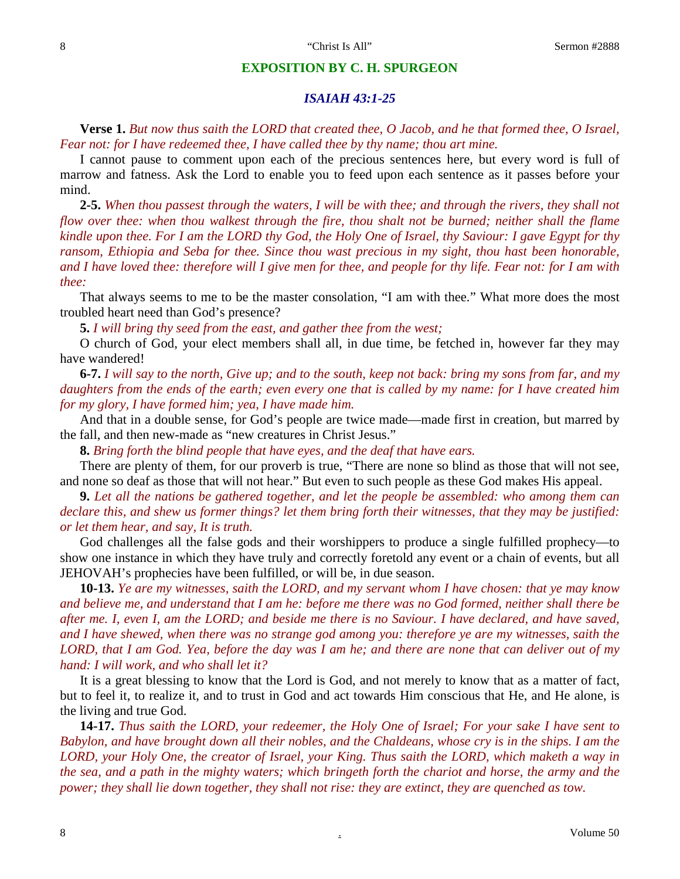#### **EXPOSITION BY C. H. SPURGEON**

### *ISAIAH 43:1-25*

**Verse 1.** *But now thus saith the LORD that created thee, O Jacob, and he that formed thee, O Israel, Fear not: for I have redeemed thee, I have called thee by thy name; thou art mine.*

I cannot pause to comment upon each of the precious sentences here, but every word is full of marrow and fatness. Ask the Lord to enable you to feed upon each sentence as it passes before your mind.

**2-5.** *When thou passest through the waters, I will be with thee; and through the rivers, they shall not flow over thee: when thou walkest through the fire, thou shalt not be burned; neither shall the flame kindle upon thee. For I am the LORD thy God, the Holy One of Israel, thy Saviour: I gave Egypt for thy ransom, Ethiopia and Seba for thee. Since thou wast precious in my sight, thou hast been honorable, and I have loved thee: therefore will I give men for thee, and people for thy life. Fear not: for I am with thee:*

That always seems to me to be the master consolation, "I am with thee." What more does the most troubled heart need than God's presence?

**5.** *I will bring thy seed from the east, and gather thee from the west;*

O church of God, your elect members shall all, in due time, be fetched in, however far they may have wandered!

**6-7.** *I will say to the north, Give up; and to the south, keep not back: bring my sons from far, and my daughters from the ends of the earth; even every one that is called by my name: for I have created him for my glory, I have formed him; yea, I have made him.*

And that in a double sense, for God's people are twice made—made first in creation, but marred by the fall, and then new-made as "new creatures in Christ Jesus."

**8.** *Bring forth the blind people that have eyes, and the deaf that have ears.*

There are plenty of them, for our proverb is true, "There are none so blind as those that will not see, and none so deaf as those that will not hear." But even to such people as these God makes His appeal.

**9.** *Let all the nations be gathered together, and let the people be assembled: who among them can declare this, and shew us former things? let them bring forth their witnesses, that they may be justified: or let them hear, and say, It is truth.*

God challenges all the false gods and their worshippers to produce a single fulfilled prophecy—to show one instance in which they have truly and correctly foretold any event or a chain of events, but all JEHOVAH's prophecies have been fulfilled, or will be, in due season.

**10-13.** *Ye are my witnesses, saith the LORD, and my servant whom I have chosen: that ye may know and believe me, and understand that I am he: before me there was no God formed, neither shall there be after me. I, even I, am the LORD; and beside me there is no Saviour. I have declared, and have saved, and I have shewed, when there was no strange god among you: therefore ye are my witnesses, saith the LORD, that I am God. Yea, before the day was I am he; and there are none that can deliver out of my hand: I will work, and who shall let it?*

It is a great blessing to know that the Lord is God, and not merely to know that as a matter of fact, but to feel it, to realize it, and to trust in God and act towards Him conscious that He, and He alone, is the living and true God.

**14-17.** *Thus saith the LORD, your redeemer, the Holy One of Israel; For your sake I have sent to Babylon, and have brought down all their nobles, and the Chaldeans, whose cry is in the ships. I am the LORD, your Holy One, the creator of Israel, your King. Thus saith the LORD, which maketh a way in the sea, and a path in the mighty waters; which bringeth forth the chariot and horse, the army and the power; they shall lie down together, they shall not rise: they are extinct, they are quenched as tow.*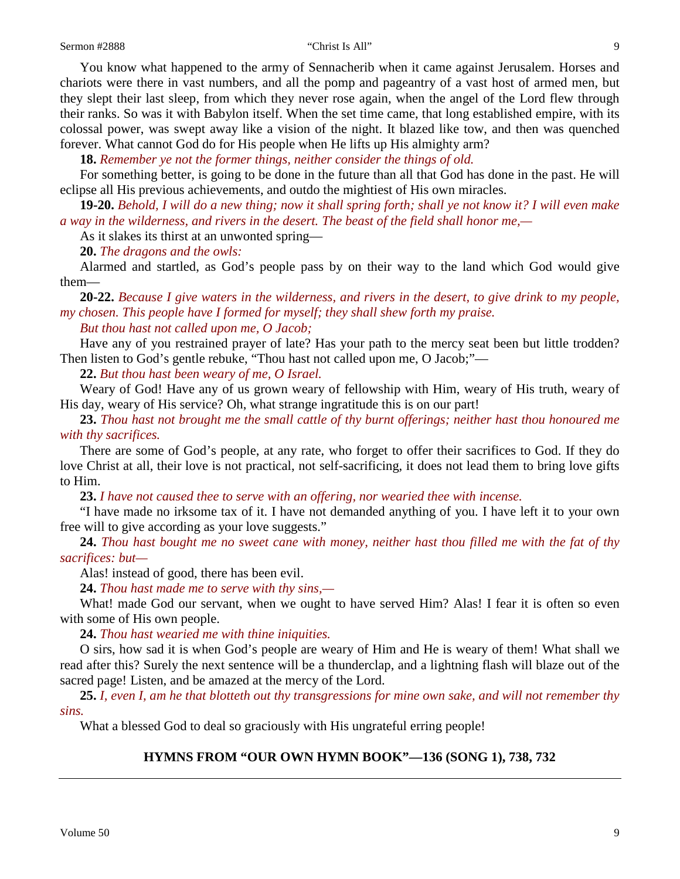You know what happened to the army of Sennacherib when it came against Jerusalem. Horses and chariots were there in vast numbers, and all the pomp and pageantry of a vast host of armed men, but they slept their last sleep, from which they never rose again, when the angel of the Lord flew through their ranks. So was it with Babylon itself. When the set time came, that long established empire, with its colossal power, was swept away like a vision of the night. It blazed like tow, and then was quenched forever. What cannot God do for His people when He lifts up His almighty arm?

**18.** *Remember ye not the former things, neither consider the things of old.*

For something better, is going to be done in the future than all that God has done in the past. He will eclipse all His previous achievements, and outdo the mightiest of His own miracles.

**19-20.** *Behold, I will do a new thing; now it shall spring forth; shall ye not know it? I will even make a way in the wilderness, and rivers in the desert. The beast of the field shall honor me,—*

As it slakes its thirst at an unwonted spring—

**20.** *The dragons and the owls:*

Alarmed and startled, as God's people pass by on their way to the land which God would give them—

**20-22.** *Because I give waters in the wilderness, and rivers in the desert, to give drink to my people, my chosen. This people have I formed for myself; they shall shew forth my praise.* 

*But thou hast not called upon me, O Jacob;*

Have any of you restrained prayer of late? Has your path to the mercy seat been but little trodden? Then listen to God's gentle rebuke, "Thou hast not called upon me, O Jacob;"—

**22.** *But thou hast been weary of me, O Israel.*

Weary of God! Have any of us grown weary of fellowship with Him, weary of His truth, weary of His day, weary of His service? Oh, what strange ingratitude this is on our part!

**23.** *Thou hast not brought me the small cattle of thy burnt offerings; neither hast thou honoured me with thy sacrifices.*

There are some of God's people, at any rate, who forget to offer their sacrifices to God. If they do love Christ at all, their love is not practical, not self-sacrificing, it does not lead them to bring love gifts to Him.

**23.** *I have not caused thee to serve with an offering, nor wearied thee with incense.*

"I have made no irksome tax of it. I have not demanded anything of you. I have left it to your own free will to give according as your love suggests."

**24.** *Thou hast bought me no sweet cane with money, neither hast thou filled me with the fat of thy sacrifices: but—*

Alas! instead of good, there has been evil.

**24.** *Thou hast made me to serve with thy sins,—*

What! made God our servant, when we ought to have served Him? Alas! I fear it is often so even with some of His own people.

**24.** *Thou hast wearied me with thine iniquities.*

O sirs, how sad it is when God's people are weary of Him and He is weary of them! What shall we read after this? Surely the next sentence will be a thunderclap, and a lightning flash will blaze out of the sacred page! Listen, and be amazed at the mercy of the Lord.

**25.** *I, even I, am he that blotteth out thy transgressions for mine own sake, and will not remember thy sins.*

What a blessed God to deal so graciously with His ungrateful erring people!

## **HYMNS FROM "OUR OWN HYMN BOOK"—136 (SONG 1), 738, 732**